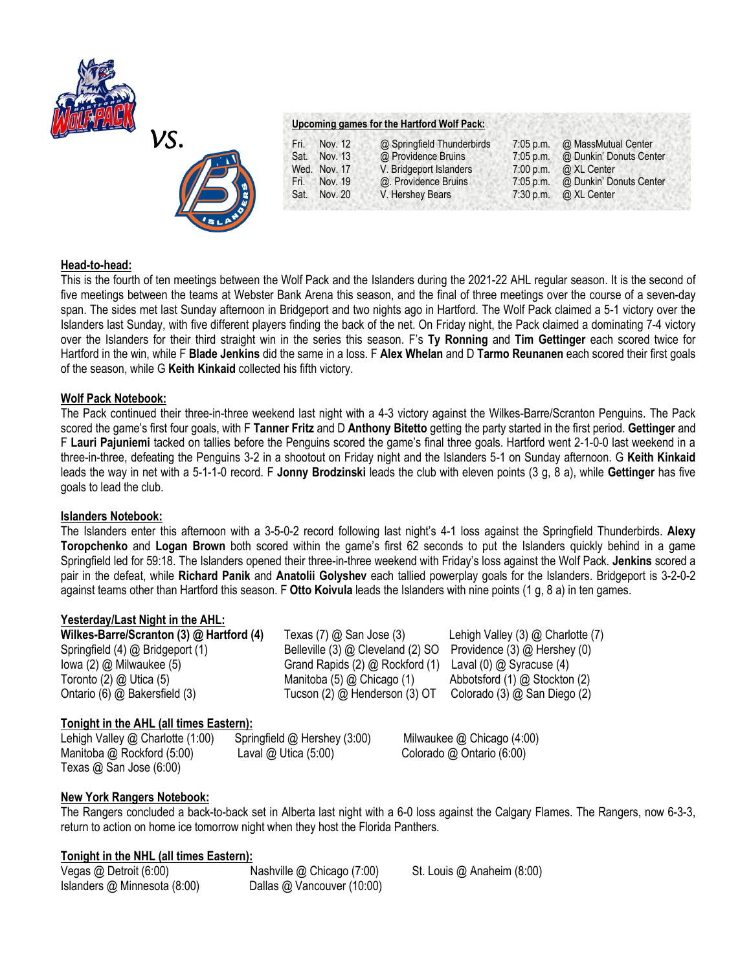



# **Upcoming games for the Hartford Wolf Pack:**

| Nov. 12<br>Fri. | @ Springfield Thunderbirds | $7:05$ p.m. | @ MassMutual Center     |
|-----------------|----------------------------|-------------|-------------------------|
| Sat.<br>Nov. 13 | @ Providence Bruins        | $7:05$ p.m. | @ Dunkin' Donuts Center |
| Wed. Nov. 17    | V. Bridgeport Islanders    | $7:00$ p.m. | @ XL Center             |
| Nov. 19<br>Fri. | @. Providence Bruins       | $7:05$ p.m. | @ Dunkin' Donuts Center |
| Sat.<br>Nov. 20 | V. Hershey Bears           | $7:30$ p.m. | @ XL Center             |
|                 |                            |             |                         |

# **Head-to-head:**

This is the fourth of ten meetings between the Wolf Pack and the Islanders during the 2021-22 AHL regular season. It is the second of five meetings between the teams at Webster Bank Arena this season, and the final of three meetings over the course of a seven-day span. The sides met last Sunday afternoon in Bridgeport and two nights ago in Hartford. The Wolf Pack claimed a 5-1 victory over the Islanders last Sunday, with five different players finding the back of the net. On Friday night, the Pack claimed a dominating 7-4 victory over the Islanders for their third straight win in the series this season. F's **Ty Ronning** and **Tim Gettinger** each scored twice for Hartford in the win, while F **Blade Jenkins** did the same in a loss. F **Alex Whelan** and D **Tarmo Reunanen** each scored their first goals of the season, while G **Keith Kinkaid** collected his fifth victory.

# **Wolf Pack Notebook:**

The Pack continued their three-in-three weekend last night with a 4-3 victory against the Wilkes-Barre/Scranton Penguins. The Pack scored the game's first four goals, with F **Tanner Fritz** and D **Anthony Bitetto** getting the party started in the first period. **Gettinger** and F **Lauri Pajuniemi** tacked on tallies before the Penguins scored the game's final three goals. Hartford went 2-1-0-0 last weekend in a three-in-three, defeating the Penguins 3-2 in a shootout on Friday night and the Islanders 5-1 on Sunday afternoon. G **Keith Kinkaid**  leads the way in net with a 5-1-1-0 record. F **Jonny Brodzinski** leads the club with eleven points (3 g, 8 a), while **Gettinger** has five goals to lead the club.

# **Islanders Notebook:**

The Islanders enter this afternoon with a 3-5-0-2 record following last night's 4-1 loss against the Springfield Thunderbirds. **Alexy Toropchenko** and **Logan Brown** both scored within the game's first 62 seconds to put the Islanders quickly behind in a game Springfield led for 59:18. The Islanders opened their three-in-three weekend with Friday's loss against the Wolf Pack. **Jenkins** scored a pair in the defeat, while **Richard Panik** and **Anatolii Golyshev** each tallied powerplay goals for the Islanders. Bridgeport is 3-2-0-2 against teams other than Hartford this season. F **Otto Koivula** leads the Islanders with nine points (1 g, 8 a) in ten games.

# **Yesterday/Last Night in the AHL:**

| Wilkes-Barre/Scranton (3) @ Hartford (4) | Texas (7) @ San Jose (3)          | Lehigh Valley $(3)$ $@$ Charlotte $(7)$ |
|------------------------------------------|-----------------------------------|-----------------------------------------|
| Springfield (4) @ Bridgeport (1)         | Belleville (3) @ Cleveland (2) SO | Providence $(3)$ $@$ Hershey $(0)$      |
| lowa (2) @ Milwaukee (5)                 | Grand Rapids (2) @ Rockford (1)   | Laval (0) $@$ Syracuse (4)              |
| Toronto (2) @ Utica (5)                  | Manitoba $(5)$ $@$ Chicago $(1)$  | Abbotsford $(1)$ $@$ Stockton $(2)$     |
| Ontario (6) @ Bakersfield (3)            | Tucson (2) @ Henderson (3) OT     | Colorado (3) @ San Diego (2)            |

# **Tonight in the AHL (all times Eastern):**

Lehigh Valley @ Charlotte (1:00)Springfield @ Hershey (3:00) Milwaukee @ Chicago (4:00) Manitoba @ Rockford (5:00)Laval @ Utica (5:00) Colorado @ Ontario (6:00) Texas @ San Jose (6:00)

# **New York Rangers Notebook:**

The Rangers concluded a back-to-back set in Alberta last night with a 6-0 loss against the Calgary Flames. The Rangers, now 6-3-3, return to action on home ice tomorrow night when they host the Florida Panthers.

# **Tonight in the NHL (all times Eastern):**

Islanders @ Minnesota (8:00) Dallas @ Vancouver (10:00)

Vegas @ Detroit (6:00)Nashville @ Chicago (7:00) St. Louis @ Anaheim (8:00)